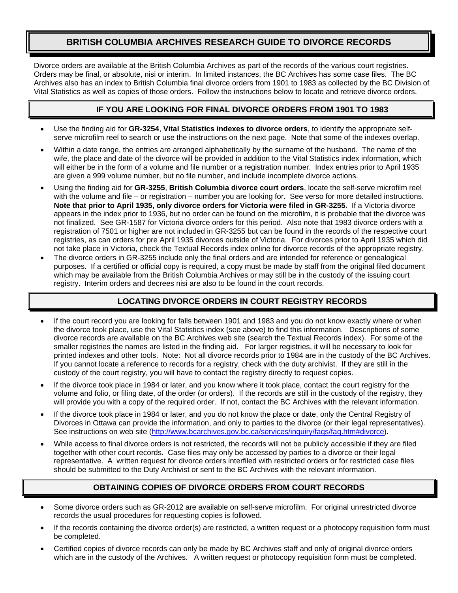## **BRITISH COLUMBIA ARCHIVES RESEARCH GUIDE TO DIVORCE RECORDS**

Divorce orders are available at the British Columbia Archives as part of the records of the various court registries. Orders may be final, or absolute, nisi or interim. In limited instances, the BC Archives has some case files. The BC Archives also has an index to British Columbia final divorce orders from 1901 to 1983 as collected by the BC Division of Vital Statistics as well as copies of those orders. Follow the instructions below to locate and retrieve divorce orders.

### **IF YOU ARE LOOKING FOR FINAL DIVORCE ORDERS FROM 1901 TO 1983**

- Use the finding aid for **GR-3254**, **Vital Statistics indexes to divorce orders**, to identify the appropriate selfserve microfilm reel to search or use the instructions on the next page. Note that some of the indexes overlap.
- Within a date range, the entries are arranged alphabetically by the surname of the husband. The name of the wife, the place and date of the divorce will be provided in addition to the Vital Statistics index information, which will either be in the form of a volume and file number or a registration number. Index entries prior to April 1935 are given a 999 volume number, but no file number, and include incomplete divorce actions.
- Using the finding aid for **GR-3255**, **British Columbia divorce court orders**, locate the self-serve microfilm reel with the volume and file – or registration – number you are looking for. See verso for more detailed instructions. **Note that prior to April 1935, only divorce orders for Victoria were filed in GR-3255**. If a Victoria divorce appears in the index prior to 1936, but no order can be found on the microfilm, it is probable that the divorce was not finalized. See GR-1587 for Victoria divorce orders for this period. Also note that 1983 divorce orders with a registration of 7501 or higher are not included in GR-3255 but can be found in the records of the respective court registries, as can orders for pre April 1935 divorces outside of Victoria. For divorces prior to April 1935 which did not take place in Victoria, check the Textual Records index online for divorce records of the appropriate registry.
- The divorce orders in GR-3255 include only the final orders and are intended for reference or genealogical purposes. If a certified or official copy is required, a copy must be made by staff from the original filed document which may be available from the British Columbia Archives or may still be in the custody of the issuing court registry. Interim orders and decrees nisi are also to be found in the court records.

#### **LOCATING DIVORCE ORDERS IN COURT REGISTRY RECORDS**

- If the court record you are looking for falls between 1901 and 1983 and you do not know exactly where or when the divorce took place, use the Vital Statistics index (see above) to find this information. Descriptions of some divorce records are available on the BC Archives web site (search the Textual Records index). For some of the smaller registries the names are listed in the finding aid. For larger registries, it will be necessary to look for printed indexes and other tools. Note: Not all divorce records prior to 1984 are in the custody of the BC Archives. If you cannot locate a reference to records for a registry, check with the duty archivist. If they are still in the custody of the court registry, you will have to contact the registry directly to request copies.
- If the divorce took place in 1984 or later, and you know where it took place, contact the court registry for the volume and folio, or filing date, of the order (or orders). If the records are still in the custody of the registry, they will provide you with a copy of the required order. If not, contact the BC Archives with the relevant information.
- If the divorce took place in 1984 or later, and you do not know the place or date, only the Central Registry of Divorces in Ottawa can provide the information, and only to parties to the divorce (or their legal representatives). See instructions on web site ([http://www.bcarchives.gov.bc.ca/services/inquiry/faqs/faq.htm#divorce\)](http://www.bcarchives.gov.bc.ca/services/inquiry/faqs/faq.htm#divorce).
- While access to final divorce orders is not restricted, the records will not be publicly accessible if they are filed together with other court records. Case files may only be accessed by parties to a divorce or their legal representative. A written request for divorce orders interfiled with restricted orders or for restricted case files should be submitted to the Duty Archivist or sent to the BC Archives with the relevant information.

#### **OBTAINING COPIES OF DIVORCE ORDERS FROM COURT RECORDS**

- Some divorce orders such as GR-2012 are available on self-serve microfilm. For original unrestricted divorce records the usual procedures for requesting copies is followed.
- If the records containing the divorce order(s) are restricted, a written request or a photocopy requisition form must be completed.
- Certified copies of divorce records can only be made by BC Archives staff and only of original divorce orders which are in the custody of the Archives. A written request or photocopy requisition form must be completed.